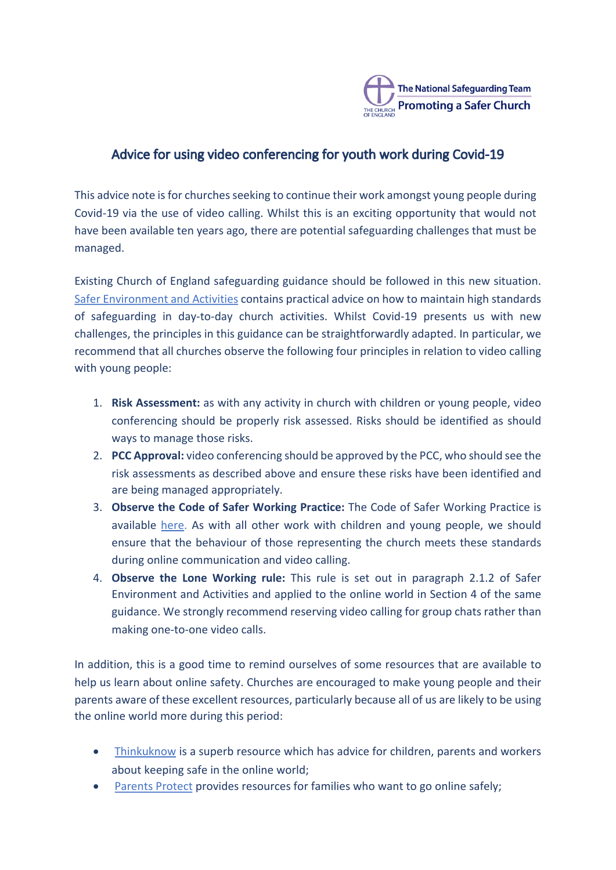

# Advice for using video conferencing for youth work during Covid-19

This advice note is for churches seeking to continue their work amongst young people during Covid-19 via the use of video calling. Whilst this is an exciting opportunity that would not have been available ten years ago, there are potential safeguarding challenges that must be managed. 

Existing Church of England safeguarding guidance should be followed in this new situation. Safer Environment and Activities contains practical advice on how to maintain high standards of safeguarding in day-to-day church activities. Whilst Covid-19 presents us with new challenges, the principles in this guidance can be straightforwardly adapted. In particular, we recommend that all churches observe the following four principles in relation to video calling with young people:

- 1. **Risk Assessment:** as with any activity in church with children or young people, video conferencing should be properly risk assessed. Risks should be identified as should ways to manage those risks.
- 2. **PCC Approval:** video conferencing should be approved by the PCC, who should see the risk assessments as described above and ensure these risks have been identified and are being managed appropriately.
- 3. **Observe the Code of Safer Working Practice:** The Code of Safer Working Practice is available here. As with all other work with children and young people, we should ensure that the behaviour of those representing the church meets these standards during online communication and video calling.
- 4. Observe the Lone Working rule: This rule is set out in paragraph 2.1.2 of Safer Environment and Activities and applied to the online world in Section 4 of the same guidance. We strongly recommend reserving video calling for group chats rather than making one-to-one video calls.

In addition, this is a good time to remind ourselves of some resources that are available to help us learn about online safety. Churches are encouraged to make young people and their parents aware of these excellent resources, particularly because all of us are likely to be using the online world more during this period:

- Thinkuknow is a superb resource which has advice for children, parents and workers about keeping safe in the online world;
- Parents Protect provides resources for families who want to go online safely: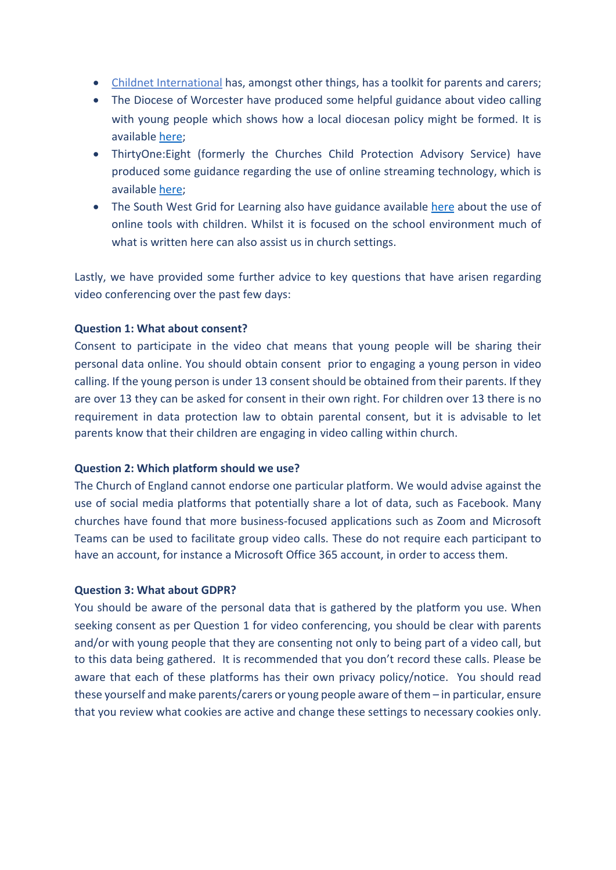- Childnet International has, amongst other things, has a toolkit for parents and carers;
- The Diocese of Worcester have produced some helpful guidance about video calling with young people which shows how a local diocesan policy might be formed. It is available here;
- ThirtyOne: Eight (formerly the Churches Child Protection Advisory Service) have produced some guidance regarding the use of online streaming technology, which is available here;
- The South West Grid for Learning also have guidance available here about the use of online tools with children. Whilst it is focused on the school environment much of what is written here can also assist us in church settings.

Lastly, we have provided some further advice to key questions that have arisen regarding video conferencing over the past few days:

## **Question 1: What about consent?**

Consent to participate in the video chat means that young people will be sharing their personal data online. You should obtain consent prior to engaging a young person in video calling. If the young person is under 13 consent should be obtained from their parents. If they are over 13 they can be asked for consent in their own right. For children over 13 there is no requirement in data protection law to obtain parental consent, but it is advisable to let parents know that their children are engaging in video calling within church.

### **Question 2: Which platform should we use?**

The Church of England cannot endorse one particular platform. We would advise against the use of social media platforms that potentially share a lot of data, such as Facebook. Many churches have found that more business-focused applications such as Zoom and Microsoft Teams can be used to facilitate group video calls. These do not require each participant to have an account, for instance a Microsoft Office 365 account, in order to access them.

### **Question 3: What about GDPR?**

You should be aware of the personal data that is gathered by the platform you use. When seeking consent as per Question 1 for video conferencing, you should be clear with parents and/or with young people that they are consenting not only to being part of a video call, but to this data being gathered. It is recommended that you don't record these calls. Please be aware that each of these platforms has their own privacy policy/notice. You should read these yourself and make parents/carers or young people aware of them  $-$  in particular, ensure that you review what cookies are active and change these settings to necessary cookies only.